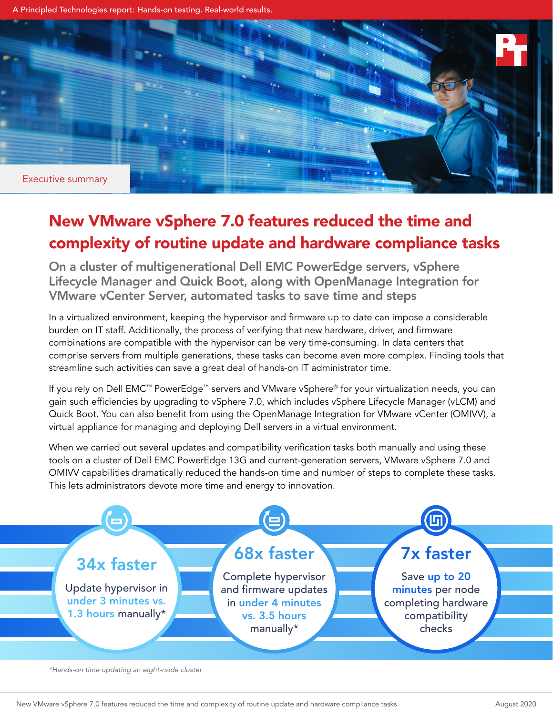A Principled Technologies report: Hands-on testing. Real-world results.



# New VMware vSphere 7.0 features reduced the time and complexity of routine update and hardware compliance tasks

On a cluster of multigenerational Dell EMC PowerEdge servers, vSphere Lifecycle Manager and Quick Boot, along with OpenManage Integration for VMware vCenter Server, automated tasks to save time and steps

In a virtualized environment, keeping the hypervisor and firmware up to date can impose a considerable burden on IT staff. Additionally, the process of verifying that new hardware, driver, and firmware combinations are compatible with the hypervisor can be very time-consuming. In data centers that comprise servers from multiple generations, these tasks can become even more complex. Finding tools that streamline such activities can save a great deal of hands-on IT administrator time.

If you rely on Dell EMC™ PowerEdge™ servers and VMware vSphere® for your virtualization needs, you can gain such efficiencies by upgrading to vSphere 7.0, which includes vSphere Lifecycle Manager (vLCM) and Quick Boot. You can also benefit from using the OpenManage Integration for VMware vCenter (OMIVV), a virtual appliance for managing and deploying Dell servers in a virtual environment.

When we carried out several updates and compatibility verification tasks both manually and using these tools on a cluster of Dell EMC PowerEdge 13G and current-generation servers, VMware vSphere 7.0 and OMIVV capabilities dramatically reduced the hands-on time and number of steps to complete these tasks. This lets administrators devote more time and energy to innovation.



*\*Hands-on time updating an eight-node cluster*